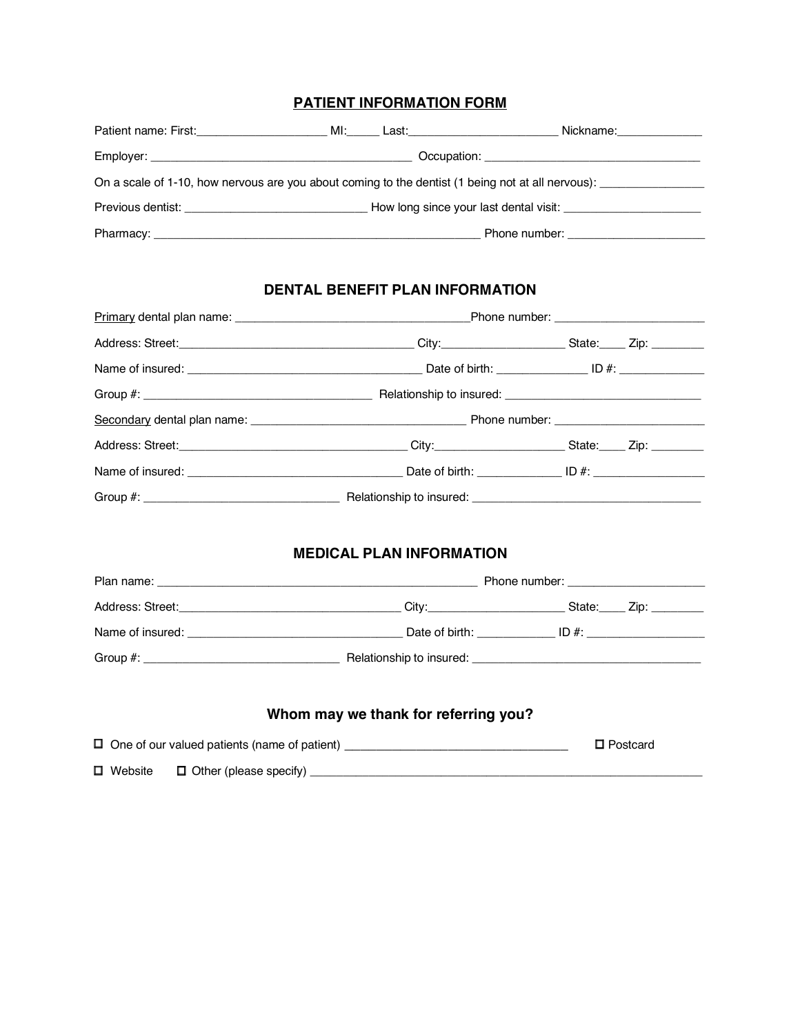## **PATIENT INFORMATION FORM**

| MI: Last: Last: Last: Last: Last: Last: Last: Last: Last: Last: Last: Last: Last: Last: Last: Last: L |                                                                                                                                                                                                                                |
|-------------------------------------------------------------------------------------------------------|--------------------------------------------------------------------------------------------------------------------------------------------------------------------------------------------------------------------------------|
|                                                                                                       |                                                                                                                                                                                                                                |
|                                                                                                       | On a scale of 1-10, how nervous are you about coming to the dentist (1 being not at all nervous): ____________                                                                                                                 |
|                                                                                                       |                                                                                                                                                                                                                                |
|                                                                                                       | Phone number: example a state of the state of the state of the state of the state of the state of the state of the state of the state of the state of the state of the state of the state of the state of the state of the sta |

# **DENTAL BENEFIT PLAN INFORMATION**

| Group #: example and the set of the set of the set of the set of the set of the set of the set of the set of the set of the set of the set of the set of the set of the set of the set of the set of the set of the set of the |  |  |  |
|--------------------------------------------------------------------------------------------------------------------------------------------------------------------------------------------------------------------------------|--|--|--|
|                                                                                                                                                                                                                                |  |  |  |
|                                                                                                                                                                                                                                |  |  |  |
|                                                                                                                                                                                                                                |  |  |  |
| Group #: example and the second second second second second second second second second second second second second second second second second second second second second second second second second second second second s |  |  |  |

## **MEDICAL PLAN INFORMATION**

| Address: Street: Analysis and Address and Address and Address and Address and Address and Address and Address and Address and Address and Address and Address and Address and Address and Address and Address and Address and | City:          | State: Zip: |
|-------------------------------------------------------------------------------------------------------------------------------------------------------------------------------------------------------------------------------|----------------|-------------|
| Name of insured:                                                                                                                                                                                                              | Date of birth: | $ID \#$     |
| Group #: __________________________________                                                                                                                                                                                   |                |             |

# **Whom may we thank for referring you?**

0

|                | $\Box$ One of our valued patients (name of patient) | $\square$ Postcard |
|----------------|-----------------------------------------------------|--------------------|
| $\Box$ Website | $\Box$ Other (please specify)                       |                    |